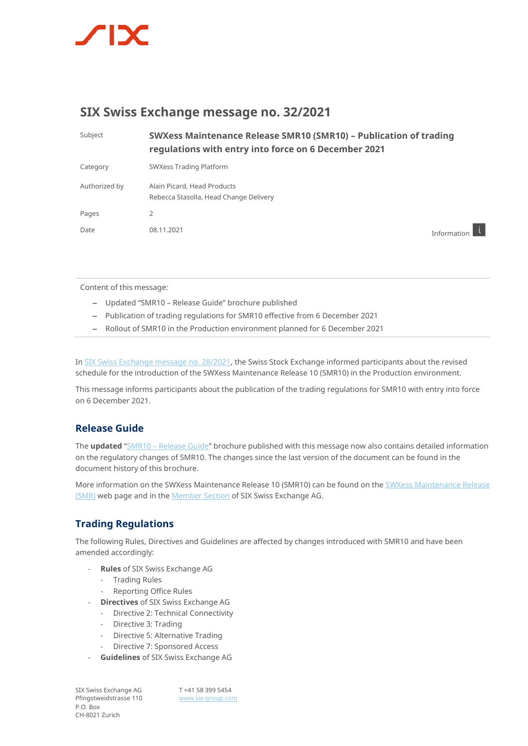

# **SIX Swiss Exchange message no. 32/2021**

| Subject       | SWXess Maintenance Release SMR10 (SMR10) - Publication of trading<br>regulations with entry into force on 6 December 2021 |               |
|---------------|---------------------------------------------------------------------------------------------------------------------------|---------------|
| Category      | SWXess Trading Platform                                                                                                   |               |
| Authorized by | Alain Picard, Head Products<br>Rebecca Stasolla, Head Change Delivery                                                     |               |
| Pages         | 2                                                                                                                         |               |
| Date          | 08.11.2021                                                                                                                | Information I |

Content of this message:

- Updated "SMR10 Release Guide" brochure published
- Publication of trading regulations for SMR10 effective from 6 December 2021
- Rollout of SMR10 in the Production environment planned for 6 December 2021

In [SIX Swiss Exchange message no. 28/2021,](https://www.six-group.com/dam/download/market-data/news/swiss-exchange-messages/2021/swx-message-20211012-28-en.pdf) the Swiss Stock Exchange informed participants about the revised schedule for the introduction of the SWXess Maintenance Release 10 (SMR10) in the Production environment.

This message informs participants about the publication of the trading regulations for SMR10 with entry into force on 6 December 2021.

## **Release Guide**

The **updated** "SMR10 – [Release Guide](https://www.six-group.com/de/products-services/the-swiss-stock-exchange/trading.html#swxess-maintenance-releases)" brochure published with this message now also contains detailed information on the regulatory changes of SMR10. The changes since the last version of the document can be found in the document history of this brochure.

More information on the SWXess Maintenance Release 10 (SMR10) can be found on the [SWXess Maintenance Release](https://www.six-group.com/en/products-services/the-swiss-stock-exchange/trading.html#scrollTo=resources)  [\(SMR\)](https://www.six-group.com/en/products-services/the-swiss-stock-exchange/trading.html#scrollTo=resources) web page and in the **Member Section** of SIX Swiss Exchange AG.

## **Trading Regulations**

The following Rules, Directives and Guidelines are affected by changes introduced with SMR10 and have been amended accordingly:

- **Rules** of SIX Swiss Exchange AG
	- Trading Rules
	- Reporting Office Rules
- **Directives** of SIX Swiss Exchange AG
	- Directive 2: Technical Connectivity
	- Directive 3: Trading
	- Directive 5: Alternative Trading
	- Directive 7: Sponsored Access
- **Guidelines** of SIX Swiss Exchange AG

SIX Swiss Exchange AG Pfingstweidstrasse 110 P.O. Box CH-8021 Zurich

T +41 58 399 5454 [www.six-group.com](http://www.six-group.com/)